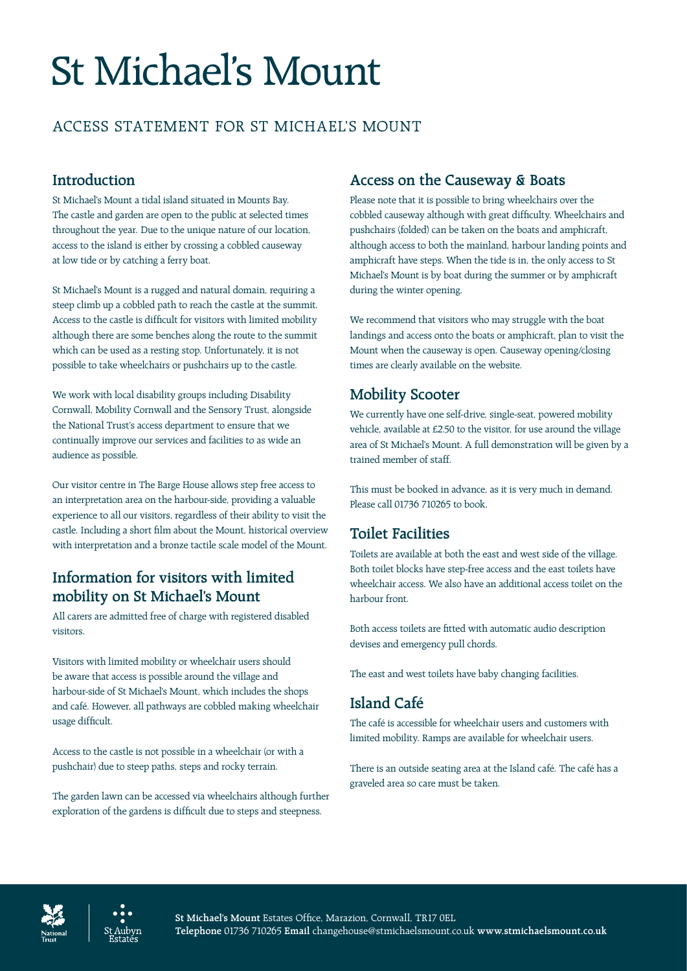# **St Michael's Mount**

# ACCESS STATEMENT FOR ST MICHAEL'S MOUNT

# **Introduction**

St Michael's Mount a tidal island situated in Mounts Bay. The castle and garden are open to the public at selected times throughout the year. Due to the unique nature of our location, access to the island is either by crossing a cobbled causeway at low tide or by catching a ferry boat.

St Michael's Mount is a rugged and natural domain, requiring a steep climb up a cobbled path to reach the castle at the summit. Access to the castle is difficult for visitors with limited mobility although there are some benches along the route to the summit which can be used as a resting stop. Unfortunately, it is not possible to take wheelchairs or pushchairs up to the castle.

We work with local disability groups including Disability Cornwall, Mobility Cornwall and the Sensory Trust, alongside the National Trust's access department to ensure that we continually improve our services and facilities to as wide an audience as possible.

Our visitor centre in The Barge House allows step free access to an interpretation area on the harbour-side, providing a valuable experience to all our visitors, regardless of their ability to visit the castle. Including a short film about the Mount, historical overview with interpretation and a bronze tactile scale model of the Mount.

# **Information for visitors with limited mobility on St Michael's Mount**

All carers are admitted free of charge with registered disabled visitors.

Visitors with limited mobility or wheelchair users should be aware that access is possible around the village and harbour-side of St Michael's Mount, which includes the shops and café. However, all pathways are cobbled making wheelchair usage difficult.

Access to the castle is not possible in a wheelchair (or with a pushchair) due to steep paths, steps and rocky terrain.

The garden lawn can be accessed via wheelchairs although further exploration of the gardens is difficult due to steps and steepness.

# **Access on the Causeway & Boats**

Please note that it is possible to bring wheelchairs over the cobbled causeway although with great difficulty. Wheelchairs and pushchairs (folded) can be taken on the boats and amphicraft, although access to both the mainland, harbour landing points and amphicraft have steps. When the tide is in, the only access to St Michael's Mount is by boat during the summer or by amphicraft during the winter opening.

We recommend that visitors who may struggle with the boat landings and access onto the boats or amphicraft, plan to visit the Mount when the causeway is open. Causeway opening/closing times are clearly available on the website.

# **Mobility Scooter**

We currently have one self-drive, single-seat, powered mobility vehicle, available at £2.50 to the visitor, for use around the village area of St Michael's Mount. A full demonstration will be given by a trained member of staff.

This must be booked in advance, as it is very much in demand. Please call 01736 710265 to book.

# **Toilet Facilities**

Toilets are available at both the east and west side of the village. Both toilet blocks have step-free access and the east toilets have wheelchair access. We also have an additional access toilet on the harbour front.

Both access toilets are fitted with automatic audio description devises and emergency pull chords.

The east and west toilets have baby changing facilities.

## **Island Café**

The café is accessible for wheelchair users and customers with limited mobility. Ramps are available for wheelchair users.

There is an outside seating area at the Island café. The café has a graveled area so care must be taken.



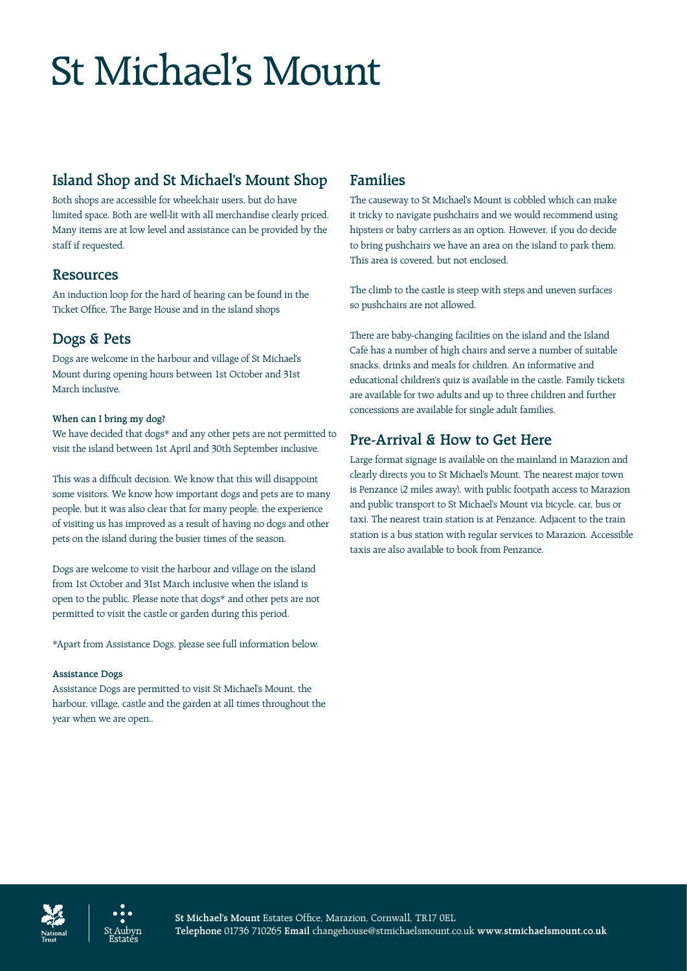# **St Michael's Mount**

# **Island Shop and St Michael's Mount Shop**

Both shops are accessible for wheelchair users, but do have limited space. Both are well-lit with all merchandise clearly priced. Many items are at low level and assistance can be provided by the staff if requested.

### **Resources**

An induction loop for the hard of hearing can be found in the Ticket Office, The Barge House and in the island shops

### **Dogs & Pets**

Dogs are welcome in the harbour and village of St Michael's Mount during opening hours between 1st October and 31st March inclusive.

#### **When can I bring my dog?**

We have decided that dogs\* and any other pets are not permitted to visit the island between 1st April and 30th September inclusive.

This was a difficult decision. We know that this will disappoint some visitors. We know how important dogs and pets are to many people, but it was also clear that for many people, the experience of visiting us has improved as a result of having no dogs and other pets on the island during the busier times of the season.

Dogs are welcome to visit the harbour and village on the island from 1st October and 31st March inclusive when the island is open to the public. Please note that dogs\* and other pets are not permitted to visit the castle or garden during this period.

\*Apart from Assistance Dogs, please see full information below.

#### **Assistance Dogs**

Assistance Dogs are permitted to visit St Michael's Mount, the harbour, village, castle and the garden at all times throughout the year when we are open..

## **Families**

The causeway to St Michael's Mount is cobbled which can make it tricky to navigate pushchairs and we would recommend using hipsters or baby carriers as an option. However, if you do decide to bring pushchairs we have an area on the island to park them. This area is covered, but not enclosed.

The climb to the castle is steep with steps and uneven surfaces so pushchairs are not allowed.

There are baby-changing facilities on the island and the Island Café has a number of high chairs and serve a number of suitable snacks, drinks and meals for children. An informative and educational children's quiz is available in the castle. Family tickets are available for two adults and up to three children and further concessions are available for single adult families.

## **Pre-Arrival & How to Get Here**

Large format signage is available on the mainland in Marazion and clearly directs you to St Michael's Mount. The nearest major town is Penzance (2 miles away), with public footpath access to Marazion and public transport to St Michael's Mount via bicycle, car, bus or taxi. The nearest train station is at Penzance. Adjacent to the train station is a bus station with regular services to Marazion. Accessible taxis are also available to book from Penzance.